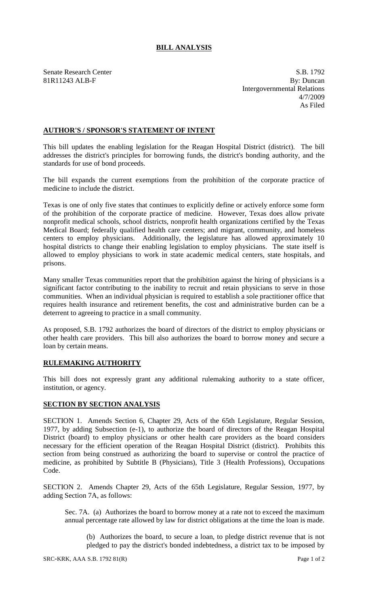## **BILL ANALYSIS**

Senate Research Center S.B. 1792 81R11243 ALB-F By: Duncan Intergovernmental Relations 4/7/2009 As Filed

## **AUTHOR'S / SPONSOR'S STATEMENT OF INTENT**

This bill updates the enabling legislation for the Reagan Hospital District (district). The bill addresses the district's principles for borrowing funds, the district's bonding authority, and the standards for use of bond proceeds.

The bill expands the current exemptions from the prohibition of the corporate practice of medicine to include the district.

Texas is one of only five states that continues to explicitly define or actively enforce some form of the prohibition of the corporate practice of medicine. However, Texas does allow private nonprofit medical schools, school districts, nonprofit health organizations certified by the Texas Medical Board; federally qualified health care centers; and migrant, community, and homeless centers to employ physicians. Additionally, the legislature has allowed approximately 10 hospital districts to change their enabling legislation to employ physicians. The state itself is allowed to employ physicians to work in state academic medical centers, state hospitals, and prisons.

Many smaller Texas communities report that the prohibition against the hiring of physicians is a significant factor contributing to the inability to recruit and retain physicians to serve in those communities. When an individual physician is required to establish a sole practitioner office that requires health insurance and retirement benefits, the cost and administrative burden can be a deterrent to agreeing to practice in a small community.

As proposed, S.B. 1792 authorizes the board of directors of the district to employ physicians or other health care providers. This bill also authorizes the board to borrow money and secure a loan by certain means.

## **RULEMAKING AUTHORITY**

This bill does not expressly grant any additional rulemaking authority to a state officer, institution, or agency.

## **SECTION BY SECTION ANALYSIS**

SECTION 1. Amends Section 6, Chapter 29, Acts of the 65th Legislature, Regular Session, 1977, by adding Subsection (e-1), to authorize the board of directors of the Reagan Hospital District (board) to employ physicians or other health care providers as the board considers necessary for the efficient operation of the Reagan Hospital District (district). Prohibits this section from being construed as authorizing the board to supervise or control the practice of medicine, as prohibited by Subtitle B (Physicians), Title 3 (Health Professions), Occupations Code.

SECTION 2. Amends Chapter 29, Acts of the 65th Legislature, Regular Session, 1977, by adding Section 7A, as follows:

Sec. 7A. (a) Authorizes the board to borrow money at a rate not to exceed the maximum annual percentage rate allowed by law for district obligations at the time the loan is made.

(b) Authorizes the board, to secure a loan, to pledge district revenue that is not pledged to pay the district's bonded indebtedness, a district tax to be imposed by